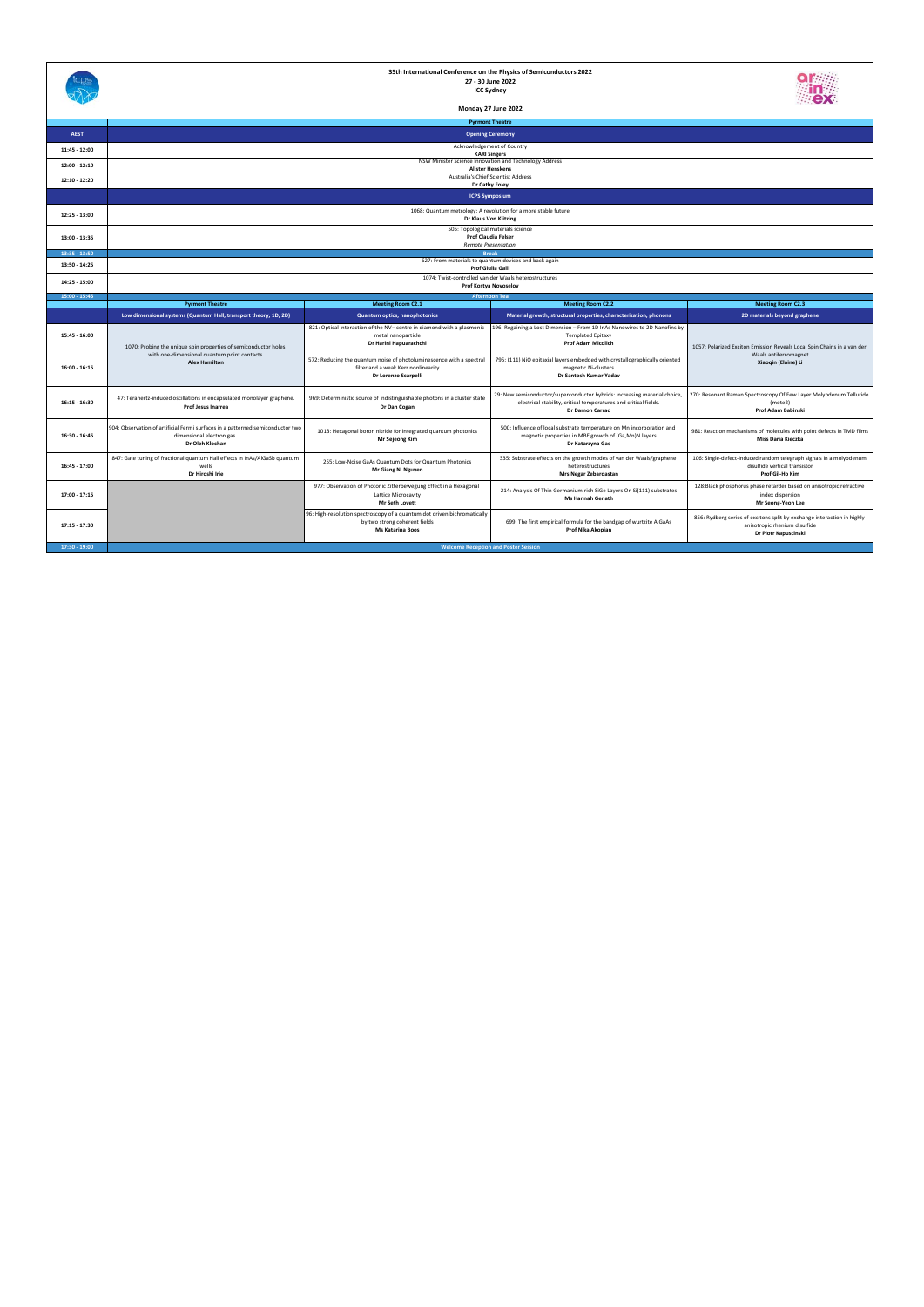|                 |                                                                                                                                        |                                                                                                                                      | <b>Pyrmont Theatre</b>                                                                                                                                                  |                                                                                                                                  |
|-----------------|----------------------------------------------------------------------------------------------------------------------------------------|--------------------------------------------------------------------------------------------------------------------------------------|-------------------------------------------------------------------------------------------------------------------------------------------------------------------------|----------------------------------------------------------------------------------------------------------------------------------|
| <b>AEST</b>     | <b>Opening Ceremony</b>                                                                                                                |                                                                                                                                      |                                                                                                                                                                         |                                                                                                                                  |
| 11:45 - 12:00   | Acknowledgement of Country<br><b>KARI Singers</b>                                                                                      |                                                                                                                                      |                                                                                                                                                                         |                                                                                                                                  |
| 12:00 - 12:10   | NSW Minister Science Innovation and Technology Address<br><b>Alister Henskens</b>                                                      |                                                                                                                                      |                                                                                                                                                                         |                                                                                                                                  |
| 12:10 - 12:20   | Australia's Chief Scientist Address                                                                                                    |                                                                                                                                      |                                                                                                                                                                         |                                                                                                                                  |
|                 | Dr Cathy Foley<br><b>ICPS Symposium</b>                                                                                                |                                                                                                                                      |                                                                                                                                                                         |                                                                                                                                  |
|                 |                                                                                                                                        |                                                                                                                                      |                                                                                                                                                                         |                                                                                                                                  |
| 12:25 - 13:00   | 1068: Quantum metrology: A revolution for a more stable future<br>Dr Klaus Von Klitzing                                                |                                                                                                                                      |                                                                                                                                                                         |                                                                                                                                  |
| 13:00 - 13:35   | 505: Topological materials science<br><b>Prof Claudia Felser</b>                                                                       |                                                                                                                                      |                                                                                                                                                                         |                                                                                                                                  |
|                 | <b>Remote Presentation</b>                                                                                                             |                                                                                                                                      |                                                                                                                                                                         |                                                                                                                                  |
| 13:35 - 13:50   | <b>Break</b><br>627: From materials to quantum devices and back again                                                                  |                                                                                                                                      |                                                                                                                                                                         |                                                                                                                                  |
| 13:50 - 14:25   |                                                                                                                                        |                                                                                                                                      | Prof Giulia Galli                                                                                                                                                       |                                                                                                                                  |
| 14:25 - 15:00   | 1074: Twist-controlled van der Waals heterostructures<br>Prof Kostya Novoselov                                                         |                                                                                                                                      |                                                                                                                                                                         |                                                                                                                                  |
| 15:00 - 15:45   | <b>Afternoon Tea</b>                                                                                                                   |                                                                                                                                      |                                                                                                                                                                         |                                                                                                                                  |
|                 | <b>Pyrmont Theatre</b>                                                                                                                 | <b>Meeting Room C2.1</b>                                                                                                             | <b>Meeting Room C2.2</b>                                                                                                                                                | <b>Meeting Room C2.3</b>                                                                                                         |
|                 | Low dimensional systems (Quantum Hall, transport theory, 1D, 2D)                                                                       | Quantum optics, nanophotonics                                                                                                        | Material growth, structural properties, characterization, phonons                                                                                                       | 2D materials beyond graphene                                                                                                     |
| 15:45 - 16:00   | 1070: Probing the unique spin properties of semiconductor holes<br>with one-dimensional quantum point contacts<br><b>Alex Hamilton</b> | 821: Optical interaction of the NV- centre in diamond with a plasmonic<br>metal nanoparticle<br>Dr Harini Hapuarachchi               | 196: Regaining a Lost Dimension - From 1D InAs Nanowires to 2D Nanofins by<br><b>Templated Epitaxy</b><br><b>Prof Adam Micolich</b>                                     | 1057: Polarized Exciton Emission Reveals Local Spin Chains in a van der<br>Waals antiferromagnet<br>Xiaogin (Elaine) Li          |
| 16:00 - 16:15   |                                                                                                                                        | 572: Reducing the quantum noise of photoluminescence with a spectral<br>filter and a weak Kerr nonlinearity<br>Dr Lorenzo Scarpelli  | 795: (111) NiO epitaxial layers embedded with crystallographically oriented<br>magnetic Ni-clusters<br>Dr Santosh Kumar Yadav                                           |                                                                                                                                  |
| 16:15 - 16:30   | 47: Terahertz-induced oscillations in encapsulated monolayer graphene.<br>Prof Jesus Inarrea                                           | 969: Deterministic source of indistinguishable photons in a cluster state<br>Dr Dan Cogan                                            | 29: New semiconductor/superconductor hybrids: increasing material choice,<br>electrical stability, critical temperatures and critical fields.<br><b>Dr Damon Carrad</b> | 270: Resonant Raman Spectroscopy Of Few Layer Molybdenum Telluride<br>(mote2)<br>Prof Adam Babinski                              |
| 16:30 - 16:45   | 904: Observation of artificial Fermi surfaces in a patterned semiconductor two<br>dimensional electron gas<br>Dr Oleh Klochan          | 1013: Hexagonal boron nitride for integrated quantum photonics<br><b>Mr Sejeong Kim</b>                                              | 500: Influence of local substrate temperature on Mn incorporation and<br>magnetic properties in MBE growth of (Ga,Mn)N layers<br>Dr Katarzyna Gas                       | 981: Reaction mechanisms of molecules with point defects in TMD films<br><b>Miss Daria Kieczka</b>                               |
| 16:45 - 17:00   | 847: Gate tuning of fractional quantum Hall effects in InAs/AlGaSb quantum<br>wells<br>Dr Hiroshi Irie                                 | 255: Low-Noise GaAs Quantum Dots for Quantum Photonics<br>Mr Giang N. Nguyen                                                         | 335: Substrate effects on the growth modes of van der Waals/graphene<br>heterostructures<br>Mrs Negar Zebardastan                                                       | 106: Single-defect-induced random telegraph signals in a molybdenum<br>disulfide vertical transistor<br>Prof Gil-Ho Kim          |
| 17:00 - 17:15   |                                                                                                                                        | 977: Observation of Photonic Zitterbewegung Effect in a Hexagonal<br>Lattice Microcavity<br><b>Mr Seth Lovett</b>                    | 214: Analysis Of Thin Germanium-rich SiGe Layers On Si(111) substrates<br><b>Ms Hannah Genath</b>                                                                       | 128:Black phosphorus phase retarder based on anisotropic refractive<br>index dispersion<br>Mr Seong-Yeon Lee                     |
| 17:15 - 17:30   |                                                                                                                                        | 96: High-resolution spectroscopy of a quantum dot driven bichromatically<br>by two strong coherent fields<br><b>Ms Katarina Boos</b> | 699: The first empirical formula for the bandgap of wurtzite AlGaAs<br>Prof Nika Akopian                                                                                | 856: Rydberg series of excitons split by exchange interaction in highly<br>anisotropic rhenium disulfide<br>Dr Piotr Kapuscinski |
| $17:30 - 19:00$ |                                                                                                                                        |                                                                                                                                      | <b>Welcome Reception and Poster Session</b>                                                                                                                             |                                                                                                                                  |



## **35th International Conference on the Physics of Semiconductors 2022 27 ‐ 30 June 2022 ICC Sydney**



**Monday 27 June 2022**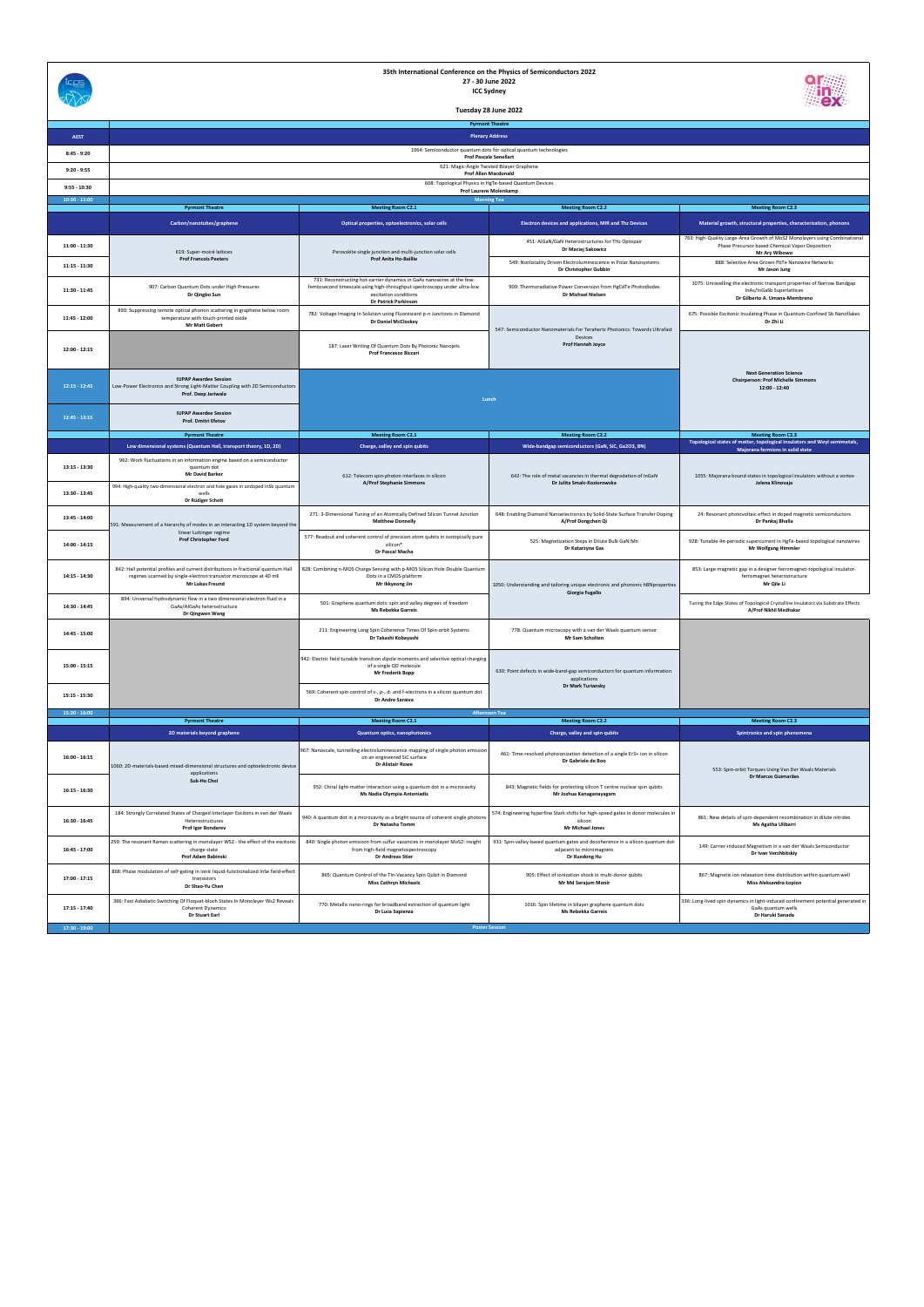|                 |                                                                                                                                                                           |                                                                                                                                                                                                            | <b>Pyrmont Theatre</b>                                                                                                     |                                                                                                                                                       |
|-----------------|---------------------------------------------------------------------------------------------------------------------------------------------------------------------------|------------------------------------------------------------------------------------------------------------------------------------------------------------------------------------------------------------|----------------------------------------------------------------------------------------------------------------------------|-------------------------------------------------------------------------------------------------------------------------------------------------------|
| <b>AEST</b>     |                                                                                                                                                                           |                                                                                                                                                                                                            | <b>Plenary Address</b>                                                                                                     |                                                                                                                                                       |
| $8:45 - 9:20$   |                                                                                                                                                                           |                                                                                                                                                                                                            |                                                                                                                            |                                                                                                                                                       |
| $9:20 - 9:55$   |                                                                                                                                                                           |                                                                                                                                                                                                            |                                                                                                                            |                                                                                                                                                       |
| $9:55 - 10:30$  |                                                                                                                                                                           |                                                                                                                                                                                                            |                                                                                                                            |                                                                                                                                                       |
| $10:30 - 11:00$ |                                                                                                                                                                           | <b>Prof Laurens Molenkamp</b>                                                                                                                                                                              | <b>Morning Tea</b>                                                                                                         |                                                                                                                                                       |
|                 | <b>Pyrmont Theatre</b>                                                                                                                                                    | <b>Meeting Room C2.1</b>                                                                                                                                                                                   | <b>Meeting Room C2.2</b>                                                                                                   | <b>Meeting Room C2.3</b>                                                                                                                              |
|                 | Carbon/nanotubes/graphene                                                                                                                                                 | Optical properties, optoelectronics, solar cells                                                                                                                                                           | Electron devices and applications, MIR and Thz Devices                                                                     | Material growth, structural properties, characterization, phonons                                                                                     |
| 11:00 - 11:30   | 619: Super-moiré lattices<br><b>Prof Francois Peeters</b>                                                                                                                 | Perovskite single junction and multi-junction solar cells<br><b>Prof Anita Ho-Baillie</b>                                                                                                                  | 451: AlGaN/GaN Heterostructures for THz Optopair<br>Dr Maciej Sakowicz                                                     | 763: High-Quality Large-Area Growth of MoS2 Monolayers using Combinational<br>Phase Precursor based Chemical Vapor Deposition<br><b>Mr Ary Wibowo</b> |
| $11:15 - 11:30$ |                                                                                                                                                                           |                                                                                                                                                                                                            | 549: Nonlocality Driven Electroluminescence in Polar Nanosystems<br>Dr Christopher Gubbin                                  | 888: Selective Area Grown PbTe Nanowire Networks<br>Mr Jason Jung                                                                                     |
| $11:30 - 11:45$ | 907: Carbon Quantum Dots under High Pressures<br>Dr Qingbo Sun                                                                                                            | 731: Reconstructing hot-carrier dynamics in GaAs nanowires at the few-<br>femtosecond timescale using high-throughput spectroscopy under ultra-low<br>excitation conditions<br><b>Dr Patrick Parkinson</b> | 909: Thermoradiative Power Conversion from HgCdTe Photodiodes<br>Dr Michael Nielsen                                        | 1075: Unravelling the electronic transport properties of Narrow Bandgap<br>InAs/InGaSb Superlattices<br>Dr Gilberto A. Umana-Membreno                 |
| 11:45 - 12:00   | 890: Suppressing remote optical phonon scattering in graphene below room<br>temperature with touch-printed oxide<br><b>Mr Matt Gebert</b>                                 | 782: Voltage Imaging in Solution using Fluorescent p-n Junctions in Diamond<br><b>Dr Daniel McCloskey</b>                                                                                                  |                                                                                                                            | 675: Possible Excitonic Insulating Phase in Quantum-Confined Sb Nanoflakes<br>Dr Zhi Li                                                               |
| $12:00 - 12:15$ |                                                                                                                                                                           | 187: Laser Writing Of Quantum Dots By Photonic Nanojets<br><b>Prof Francesco Biccari</b>                                                                                                                   | 547: Semiconductor Nanomaterials For Terahertz Photonics: Towards Ultrafast<br>Devices<br>Prof Hannah Joyce                |                                                                                                                                                       |
| $12:15 - 12:45$ | <b>IUPAP Awardee Session</b><br>Low-Power Electronics and Strong Light-Matter Coupling with 2D Semiconductors<br>Prof. Deep Jariwala                                      |                                                                                                                                                                                                            | Lunch                                                                                                                      | <b>Next Generation Science</b><br><b>Chairperson: Prof Michelle Simmons</b><br>12:00 - 12:40                                                          |
| $12:45 - 13:15$ | <b>IUPAP Awardee Session</b><br>Prof. Dmitri Efetov                                                                                                                       |                                                                                                                                                                                                            |                                                                                                                            |                                                                                                                                                       |
|                 | <b>Pyrmont Theatre</b>                                                                                                                                                    | <b>Meeting Room C2.1</b>                                                                                                                                                                                   | <b>Meeting Room C2.2</b>                                                                                                   | <b>Meeting Room C2.3</b>                                                                                                                              |
|                 | Low dimensional systems (Quantum Hall, transport theory, 1D, 2D)                                                                                                          | Charge, valley and spin qubits                                                                                                                                                                             | Wide-bandgap semiconductors (GaN, SiC, Ga2O3, BN)                                                                          | Topological states of matter, topological Insulators and Weyl semimetals,<br>Majorana fermions in solid state                                         |
| 13:15 - 13:30   | 962: Work fluctuations in an information engine based on a semiconductor<br>quantum dot<br><b>Mr David Barker</b>                                                         | 612: Telecom spin-photon interfaces in silicon<br>A/Prof Stephanie Simmons                                                                                                                                 | 642: The role of metal vacancies in thermal degradation of InGaN<br>Dr Julita Smalc-Koziorowska                            | 1055: Majorana bound states in topological insulators without a vortex<br>Jelena Klinovaja                                                            |
| 13:30 - 13:45   | 994: High-quality two-dimensional electron and hole gases in undoped InSb quantum<br>wells<br>Dr Rüdiger Schott                                                           |                                                                                                                                                                                                            |                                                                                                                            |                                                                                                                                                       |
| 13:45 - 14:00   | 591: Measurement of a hierarchy of modes in an interacting 1D system beyond the<br>linear Luttinger regime                                                                | 271: 3-Dimensional Tuning of an Atomically Defined Silicon Tunnel Junction<br><b>Matthew Donnelly</b>                                                                                                      | 648: Enabling Diamond Nanoelectronics by Solid-State Surface Transfer Doping<br>A/Prof Dongchen Qi                         | 24: Resonant photovoltaic effect in doped magnetic semiconductors<br>Dr Pankaj Bhalla                                                                 |
| 14:00 - 14:15   | <b>Prof Christopher Ford</b>                                                                                                                                              | 577: Readout and coherent control of precision atom qubits in isotopically pure<br>silicon <sup>*</sup><br>Dr Pascal Macha                                                                                 | 525: Magnetization Steps in Dilute Bulk GaN:Mn<br>Dr Katarzyna Gas                                                         | 928: Tunable 4n-periodic supercurrent in HgTe-based topological nanowires<br><b>Mr Wolfgang Himmler</b>                                               |
| 14:15 - 14:30   | 842: Hall potential profiles and current distributions in fractional quantum Hall<br>regimes scanned by single-electron transistor microscope at 40 mK<br>Mr Lukas Freund | 828: Combining n-MOS Charge Sensing with p-MOS Silicon Hole Double Quantum<br>Dots in a CMOS platform<br>Mr Ikkyeong Jin                                                                                   | 1050: Understanding and tailoring unique electronic and phononic hBNproperties<br>Giorgia Fugallo                          | 853: Large magnetic gap in a designer ferromagnet-topological insulator-<br>ferromagnet heterostructure<br>Mr Qile Li                                 |
| 14:30 - 14:45   | 894: Universal hydrodynamic flow in a two dimensional electron fluid in a<br>GaAs/AlGaAs heterostructure<br>Dr Qingwen Wang                                               | 501: Graphene quantum dots: spin and valley degrees of freedom<br>Ms Rebekka Garreis                                                                                                                       |                                                                                                                            | Tuning the Edge States of Topological Crystalline Insulators via Substrate Effects<br>A/Prof Nikhil Medhakar                                          |
| 14:45 - 15:00   |                                                                                                                                                                           | 211: Engineering Long Spin Coherence Times Of Spin-orbit Systems<br>Dr Takashi Kobayashi                                                                                                                   | 778: Quantum microscopy with a van der Waals quantum sensor<br>Mr Sam Scholten                                             |                                                                                                                                                       |
| $15:00 - 15:15$ |                                                                                                                                                                           | 942: Electric field tunable transition dipole moments and selective optical charging<br>of a single QD molecule<br><b>Mr Frederik Bopp</b>                                                                 | 630: Point defects in wide-band-gap semiconductors for quantum information<br>applications<br>Dr Mark Turiansky            |                                                                                                                                                       |
| 15:15 - 15:30   |                                                                                                                                                                           | 569: Coherent spin control of s-, p-, d- and f-electrons in a silicon quantum dot<br>Dr Andre Saraiva                                                                                                      |                                                                                                                            |                                                                                                                                                       |
| $15:30 - 16:00$ | <b>Pyrmont Theatre</b>                                                                                                                                                    | <b>Meeting Room C2.1</b>                                                                                                                                                                                   | <b>Afternoon Tea</b><br><b>Meeting Room C2.2</b>                                                                           | <b>Meeting Room C2.3</b>                                                                                                                              |
|                 | 2D materials beyond graphene                                                                                                                                              | Quantum optics, nanophotonics                                                                                                                                                                              | Charge, valley and spin qubits                                                                                             | Spintronics and spin phenomena                                                                                                                        |
| $16:00 - 16:15$ | 1060: 2D-materials-based mixed-dimensional structures and optoelectronic device<br>applications                                                                           | 967: Nanoscale, tunnelling electroluminescence mapping of single photon emissior<br>on an engineered SiC surface<br><b>Dr Alistair Rowe</b>                                                                | 461: Time-resolved photoionization detection of a single Er3+ ion in silicon<br>Dr Gabriele de Boo                         | 553: Spin-orbit Torques Using Van Der Waals Materials                                                                                                 |
| $16:15 - 16:30$ | Suk-Ho Choi                                                                                                                                                               | 952: Chiral light-matter interaction using a quantum dot in a microcavity<br>Ms Nadia Olympia Antoniadis                                                                                                   | 843: Magnetic fields for protecting silicon T centre nuclear spin qubits<br>Mr Joshua Kanaganayagam                        | Dr Marcos Guimarães                                                                                                                                   |
| 16:30 - 16:45   | 184: Strongly Correlated States of Charged Interlayer Excitons in van der Waals<br>Heterostructures<br>Prof Igor Bondarev                                                 | 940: A quantum dot in a microcavity as a bright source of coherent single photon<br>Dr Natasha Tomm                                                                                                        | 574: Engineering hyperfine Stark shifts for high-speed gates in donor molecules in<br>silicon<br><b>Mr Michael Jones</b>   | 861: New details of spin-dependent recombination in dilute nitrides<br>Ms Agatha Ulibarri                                                             |
| 16:45 - 17:00   | 259: The resonant Raman scattering in monolayer WS2 - the effect of the excitonic<br>charge state<br>Prof Adam Babinski                                                   | 840: Single photon emission from sulfur vacancies in monolayer MoS2: insight<br>from high-field magnetospectroscopy<br>Dr Andreas Stier                                                                    | 931: Spin-valley-based quantum gates and decoherence in a silicon quantum dot<br>adjacent to micromagnets<br>Dr Xuedong Hu | 149: Carrier-induced Magnetism in a van der Waals Semiconductor<br>Dr Ivan Verzhbitskiy                                                               |
| 17:00 - 17:15   | 868: Phase modulation of self-gating in ionic liquid-functionalized InSe field-effect<br>transistors<br>Dr Shao-Yu Chen                                                   | 865: Quantum Control of the Tin-Vacancy Spin Qubit in Diamond<br><b>Miss Cathryn Michaels</b>                                                                                                              | 905: Effect of ionization shock in multi-donor qubits<br>Mr Md Serajum Monir                                               | 867: Magnetic ion relaxation time distribution within quantum well<br>Miss Aleksandra Łopion                                                          |
| 17:15 - 17:40   | 366: Fast Adiabatic Switching Of Floquet-bloch States In Monolayer Ws2 Reveals<br><b>Coherent Dynamics</b><br><b>Dr Stuart Earl</b>                                       | 770: Metallic nano-rings for broadband extraction of quantum light<br>Dr Luca Sapienza                                                                                                                     | 1016: Spin lifetime in bilayer graphene quantum dots<br>Ms Rebekka Garreis                                                 | 336: Long-lived spin dynamics in light-induced confinement potential generated in<br>GaAs quantum wells<br>Dr Haruki Sanada                           |
| $17:30 - 19:00$ |                                                                                                                                                                           |                                                                                                                                                                                                            | <b>Poster Session</b>                                                                                                      |                                                                                                                                                       |

**35th International Conference on the Physics of Semiconductors 2022 27 ‐ 30 June 2022**

**ICC Sydney**



**Tuesday 28 June 2022**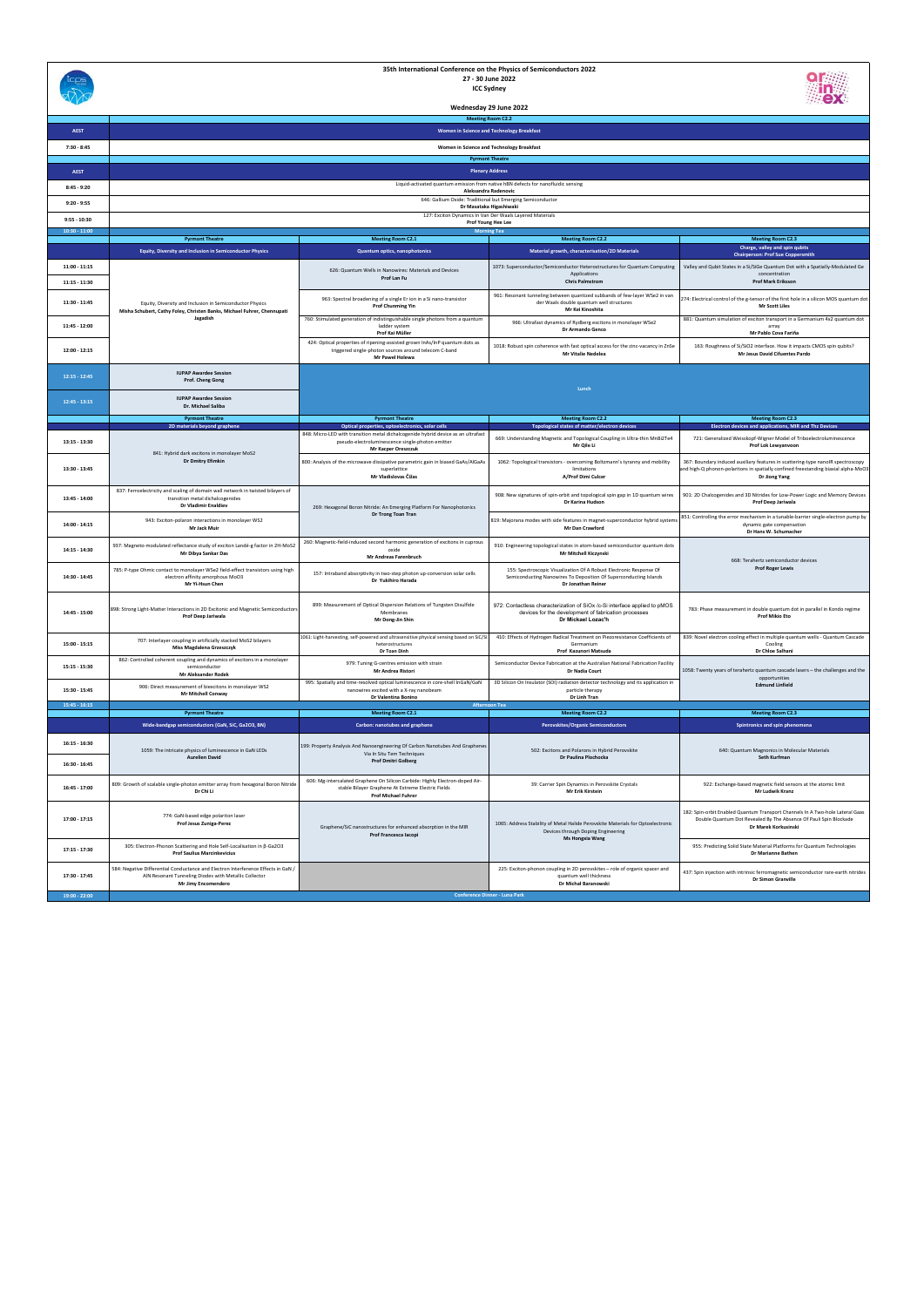|                                    |                                                                                                                                                                   |                                                                                                                                                                  | 35th International Conference on the Physics of Semiconductors 2022<br>27 - 30 June 2022<br><b>ICC Sydney</b>                                                  |                                                                                                                                                                                        |
|------------------------------------|-------------------------------------------------------------------------------------------------------------------------------------------------------------------|------------------------------------------------------------------------------------------------------------------------------------------------------------------|----------------------------------------------------------------------------------------------------------------------------------------------------------------|----------------------------------------------------------------------------------------------------------------------------------------------------------------------------------------|
|                                    |                                                                                                                                                                   |                                                                                                                                                                  | Wednesday 29 June 2022                                                                                                                                         |                                                                                                                                                                                        |
|                                    |                                                                                                                                                                   |                                                                                                                                                                  | <b>Meeting Room C2.2</b>                                                                                                                                       |                                                                                                                                                                                        |
| <b>AEST</b>                        |                                                                                                                                                                   |                                                                                                                                                                  | Women in Science and Technology Breakfast                                                                                                                      |                                                                                                                                                                                        |
| $7:30 - 8:45$                      |                                                                                                                                                                   |                                                                                                                                                                  | Women in Science and Technology Breakfast<br><b>Pyrmont Theatre</b>                                                                                            |                                                                                                                                                                                        |
| <b>AEST</b>                        |                                                                                                                                                                   |                                                                                                                                                                  | <b>Plenary Address</b>                                                                                                                                         |                                                                                                                                                                                        |
| $8:45 - 9:20$                      |                                                                                                                                                                   |                                                                                                                                                                  | Liquid-activated quantum emission from native hBN defects for nanofluidic sensing<br>Aleksandra Radenovic                                                      |                                                                                                                                                                                        |
| $9:20 - 9:55$                      |                                                                                                                                                                   |                                                                                                                                                                  | 646: Gallium Oxide: Traditional but Emerging Semiconductor<br>Dr Masataka Higashiwaki                                                                          |                                                                                                                                                                                        |
| $9:55 - 10:30$                     |                                                                                                                                                                   |                                                                                                                                                                  | 127: Exciton Dynamics In Van Der Waals Layered Materials<br>Prof Young Hee Lee                                                                                 |                                                                                                                                                                                        |
| $10:30 - 11:00$                    | <b>Pyrmont Theatre</b>                                                                                                                                            | <b>Meeting Room C2.1</b>                                                                                                                                         | <b>Morning Tea</b><br><b>Meeting Room C2.2</b>                                                                                                                 | <b>Meeting Room C2.3</b>                                                                                                                                                               |
|                                    | <b>Equity, Diversity and Inclusion in Semiconductor Physics</b>                                                                                                   | Quantum optics, nanophotonics                                                                                                                                    | Material growth, characterisation/2D Materials                                                                                                                 | Charge, valley and spin qubits<br><b>Chairperson: Prof Sue Coppersmith</b>                                                                                                             |
| $11:00 - 11:15$<br>$11:15 - 11:30$ |                                                                                                                                                                   | 626: Quantum Wells in Nanowires: Materials and Devices<br>Prof Lan Fu                                                                                            | 1073: Superconductor/Semiconductor Heterostructures for Quantum Computing<br>Applications<br><b>Chris Palmstrom</b>                                            | Valley and Qubit States in a Si/SiGe Quantum Dot with a Spatially-Modulated Ge<br>concentration<br><b>Prof Mark Eriksson</b>                                                           |
| 11:30 - 11:45                      | Equity, Diversity and Inclusion in Semiconductor Physics<br>Misha Schubert, Cathy Foley, Christen Banks, Michael Fuhrer, Chennupati                               | 963: Spectral broadening of a single Er ion in a Si nano-transistor<br><b>Prof Chunming Yin</b>                                                                  | 961: Resonant tunneling between quantized subbands of few-layer WSe2 in van<br>der Waals double quantum well structures<br>Mr Kei Kinoshita                    | 274: Electrical control of the g-tensor of the first hole in a silicon MOS quantum dot<br><b>Mr Scott Liles</b>                                                                        |
| 11:45 - 12:00                      | Jagadish                                                                                                                                                          | 760: Stimulated generation of indistinguishable single photons from a quantum<br>ladder system<br>Prof Kai Müller                                                | 966: Ultrafast dynamics of Rydberg excitons in monolayer WSe2<br>Dr Armando Genco                                                                              | 881: Quantum simulation of exciton transport in a Germanium 4x2 quantum dot<br>arrav<br>Mr Pablo Cova Fariña                                                                           |
| 12:00 - 12:15                      |                                                                                                                                                                   | 424: Optical properties of ripening-assisted grown InAs/InP quantum dots as<br>triggered single-photon sources around telecom C-band<br>Mr Pawel Holewa          | 1018: Robust spin coherence with fast optical access for the zinc-vacancy in ZnSe<br><b>Mr Vitalie Nedelea</b>                                                 | 163: Roughness of Si/SiO2 interface. How it impacts CMOS spin qubits?<br>Mr Jesus David Cifuentes Pardo                                                                                |
| $12:15 - 12:45$                    | <b>IUPAP Awardee Session</b><br>Prof. Cheng Gong                                                                                                                  |                                                                                                                                                                  | Lunch                                                                                                                                                          |                                                                                                                                                                                        |
| $12:45 - 13:15$                    | <b>IUPAP Awardee Session</b><br>Dr. Michael Saliba                                                                                                                |                                                                                                                                                                  |                                                                                                                                                                |                                                                                                                                                                                        |
|                                    | <b>Pyrmont Theatre</b><br>2D materials beyond graphene                                                                                                            | <b>Pyrmont Theatre</b><br>Optical properties, optoelectronics, solar cells                                                                                       | <b>Meeting Room C2.2</b><br>Topological states of matter/electron devices                                                                                      | <b>Meeting Room C2.3</b><br>Electron devices and applications, MIR and Thz Devices                                                                                                     |
| 13:15 - 13:30                      | 841: Hybrid dark excitons in monolayer MoS2                                                                                                                       | 848: Micro-LED with transition metal dichalcogenide hybrid device as an ultrafast<br>pseudo-electroluminescence single-photon emitter<br>Mr Kacper Oreszczuk     | 669: Understanding Magnetic and Topological Coupling in Ultra-thin MnBi2Te4<br>Mr Qile Li                                                                      | 721: Generalized Weisskopf-Wigner Model of Triboelectroluminescence<br>Prof Lok Lewyanvoon                                                                                             |
| 13:30 - 13:45                      | Dr Dmitry Efimkin                                                                                                                                                 | 800: Analysis of the microwave dissipative parametric gain in biased GaAs/AlGaAs<br>superlattice<br>Mr Vladislovas Čižas                                         | 1062: Topological transistors - overcoming Boltzmann's tyranny and mobility<br>limitations<br>A/Prof Dimi Culcer                                               | 367: Boundary induced auxiliary features in scattering-type nanoIR spectroscopy<br>and high-Q phonon-polaritons in spatially confined freestanding biaxial alpha-MoO3<br>Dr Jiong Yang |
| 13:45 - 14:00                      | 837: Ferroelectricity and scaling of domain wall network in twisted bilayers of<br>transition metal dichalcogenides<br><b>Dr Vladimir Enaldiev</b>                | 269: Hexagonal Boron Nitride: An Emerging Platform For Nanophotonics                                                                                             | 908: New signatures of spin-orbit and topological spin gap in 1D quantum wires<br>Dr Karina Hudson                                                             | 901: 2D Chalcogenides and 3D Nitrides for Low-Power Logic and Memory Devices<br>Prof Deep Jariwala                                                                                     |
| 14:00 - 14:15                      | 943: Exciton-polaron interactions in monolayer WS2<br>Mr Jack Muir                                                                                                | Dr Trong Toan Tran                                                                                                                                               | 819: Majorana modes with side features in magnet-superconductor hybrid system<br>Mr Dan Crawford                                                               | 851: Controlling the error mechanism in a tunable-barrier single-electron pump by<br>dynamic gate compensation<br>Dr Hans W. Schumacher                                                |
| 14:15 - 14:30                      | 937: Magneto-modulated reflectance study of exciton Landé-g factor in 2H-MoS2<br>Mr Dibya Sankar Das                                                              | 260: Magnetic-field-induced second harmonic generation of excitons in cuprous<br>oxide<br>dreas Farenbruch                                                       | 910: Engineering topological states in atom-based semiconductor quantum dots<br>Mr Mitchell Kiczynski                                                          | 668: Terahertz semiconductor devices                                                                                                                                                   |
| 14:30 - 14:45                      | 785: P-type Ohmic contact to monolayer WSe2 field-effect transistors using high<br>electron affinity amorphous MoO3<br>Mr Yi-Hsun Chen                            | 157: Intraband absorptivity in two-step photon up-conversion solar cells<br>Dr Yukihiro Harada                                                                   | 155: Spectroscopic Visualization Of A Robust Electronic Response Of<br>Semiconducting Nanowires To Deposition Of Superconducting Islands<br>Dr Jonathan Reiner | <b>Prof Roger Lewis</b>                                                                                                                                                                |
| 14:45 - 15:00                      | 898: Strong Light-Matter Interactions in 2D Excitonic and Magnetic Semiconductors<br>Prof Deep Jariwala                                                           | 899: Measurement of Optical Dispersion Relations of Tungsten Disulfide<br>Membranes<br>Mr Dong-Jin Shin                                                          | 972: Contactless characterization of SiOx /c-Si interface applied to pMOS<br>devices for the development of fabrication processes<br>Dr Mickael Lozac'h        | 783: Phase measurement in double quantum dot in parallel in Kondo regime<br><b>Prof Mikio Eto</b>                                                                                      |
| 15:00 - 15:15                      | 707: Interlayer coupling in artificially stacked MoS2 bilayers<br>Miss Magdalena Grzeszczyk                                                                       | 1061: Light-harvesting, self-powered and ultrasensitive physical sensing based on SiC/S<br>heterostructures<br>Dr Toan Dinh                                      | 410: Effects of Hydrogen Radical Treatment on Piezoresistance Coefficients of<br>Germanium<br>Prof Kazunori Matsuda                                            | 839: Novel electron cooling effect in multiple quantum wells - Quantum Cascade<br>Cooling<br>Dr Chloe Salhani                                                                          |
| 15:15 - 15:30                      | 862: Controlled coherent coupling and dynamics of excitons in a monolayer<br>semiconductor<br>Mr Aleksander Rodek                                                 | 979: Tuning G-centres emission with strain<br>Mr Andrea Ristori                                                                                                  | Semiconductor Device Fabrication at the Australian National Fabrication Facility<br><b>Dr Nadia Court</b>                                                      | 1058: Twenty years of terahertz quantum cascade lasers - the challenges and the<br>opportunities                                                                                       |
| 15:30 - 15:45<br>$15:45 - 16:15$   | 906: Direct measurement of biexcitons in monolayer WS2<br><b>Mr Mitchell Conway</b>                                                                               | 995: Spatially and time-resolved optical luminescence in core-shell InGaN/GaN<br>nanowires excited with a X-ray nanobeam<br>Dr Valentina Bonino                  | 3D Silicon On Insulator (SOI) radiation detector technology and its application in<br>particle therapy<br>Dr Linh Tran<br><b>Afternoon Tea</b>                 | <b>Edmund Linfield</b>                                                                                                                                                                 |
|                                    | <b>Pyrmont Theatre</b>                                                                                                                                            | <b>Meeting Room C2.1</b>                                                                                                                                         | <b>Meeting Room C2.2</b>                                                                                                                                       | <b>Meeting Room C2.3</b>                                                                                                                                                               |
|                                    | Wide-bandgap semiconductors (GaN, SiC, Ga2O3, BN)                                                                                                                 | Carbon: nanotubes and graphene                                                                                                                                   | Perovskites/Organic Semiconductors                                                                                                                             | Spintronics and spin phenomena                                                                                                                                                         |
| $16:15 - 16:30$<br>16:30 - 16:45   | 1059: The intricate physics of luminescence in GaN LEDs<br><b>Aurelien David</b>                                                                                  | 199: Property Analysis And Nanoengineering Of Carbon Nanotubes And Graphenes<br>Via In Situ Tem Techniques<br><b>Prof Dmitri Golberg</b>                         | 502: Excitons and Polarons in Hybrid Perovskite<br>Dr Paulina Plochocka                                                                                        | 640: Quantum Magnonics in Molecular Materials<br>Seth Kurfman                                                                                                                          |
| 16:45 - 17:00                      | 809: Growth of scalable single-photon emitter array from hexagonal Boron Nitride<br>Dr Chi Li                                                                     | 606: Mg-intercalated Graphene On Silicon Carbide: Highly Electron-doped Air-<br>stable Bilayer Graphene At Extreme Electric Fields<br><b>Prof Michael Fuhrer</b> | 39: Carrier Spin Dynamics in Perovskite Crystals<br>Mr Erik Kirstein                                                                                           | 922: Exchange-based magnetic field sensors at the atomic limit<br>Mr Ludwik Kranz                                                                                                      |
| 17:00 - 17:15                      | 774: GaN-based edge polariton laser<br>Prof Jesus Zuniga-Perez                                                                                                    | Graphene/SiC nanostructures for enhanced absorption in the MIR<br>Prof Francesca Iacopi                                                                          | 1065: Address Stability of Metal Halide Perovskite Materials for Optoelectronic<br>Devices through Doping Engineering                                          | 182: Spin-orbit Enabled Quantum Transport Channels In A Two-hole Lateral Gaas<br>Double Quantum Dot Revealed By The Absence Of Pauli Spin Blockade<br>Dr Marek Korkusinski             |
| 17:15 - 17:30                      | 305: Electron-Phonon Scattering and Hole Self-Localisation in β-Ga2O3<br><b>Prof Saulius Marcinkevicius</b>                                                       |                                                                                                                                                                  | <b>Ms Hongxia Wang</b>                                                                                                                                         | 955: Predicting Solid State Material Platforms for Quantum Technologies<br>Dr Marianne Bathen                                                                                          |
| 17:30 - 17:45                      | 584: Negative Differential Conductance and Electron Interference Effects in GaN /<br>AIN Resonant Tunneling Diodes with Metallic Collector<br>Mr Jimy Encomendero |                                                                                                                                                                  | 225: Exciton-phonon coupling in 2D perovskites - role of organic spacer and<br>quantum well thickness<br>Dr Michał Baranowski                                  | 437: Spin injection with intrinsic ferromagnetic semiconductor rare-earth nitrides<br>Dr Simon Granville                                                                               |
| $19:00 - 22:00$                    |                                                                                                                                                                   |                                                                                                                                                                  | <b>Conference Dinner - Luna Park</b>                                                                                                                           |                                                                                                                                                                                        |